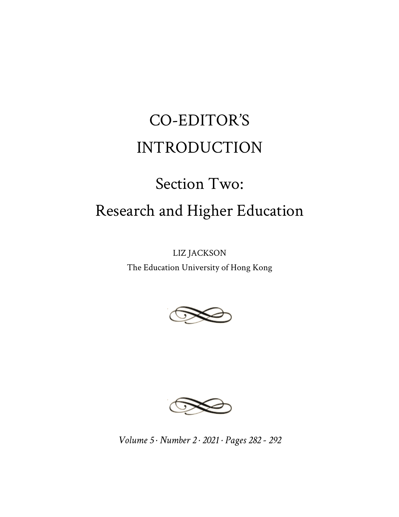## CO-EDITOR'S INTRODUCTION

## Section Two: Research and Higher Education

LIZ JACKSON

The Education University of Hong Kong





*Volume 5 · Number 2 · 2021 · Pages 282 - 292*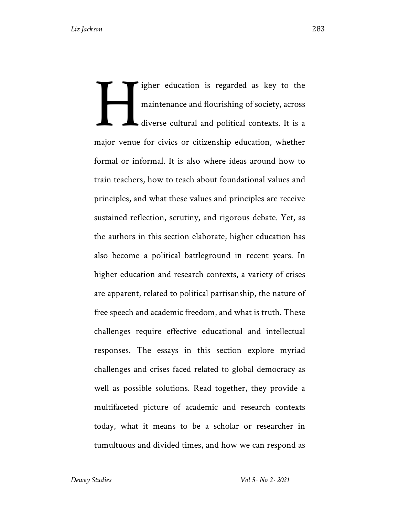igher education is regarded as key to the maintenance and flourishing of society, across diverse cultural and political contexts. It is a major venue for civics or citizenship education, whether formal or informal. It is also where ideas around how to train teachers, how to teach about foundational values and principles, and what these values and principles are receive sustained reflection, scrutiny, and rigorous debate. Yet, as the authors in this section elaborate, higher education has also become a political battleground in recent years. In higher education and research contexts, a variety of crises are apparent, related to political partisanship, the nature of free speech and academic freedom, and what is truth. These challenges require effective educational and intellectual responses. The essays in this section explore myriad challenges and crises faced related to global democracy as well as possible solutions. Read together, they provide a multifaceted picture of academic and research contexts today, what it means to be a scholar or researcher in tumultuous and divided times, and how we can respond as H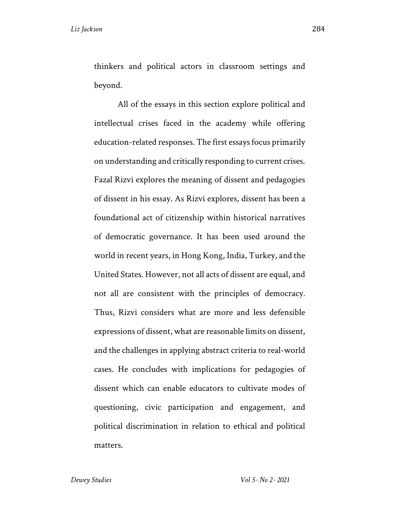beyond.

thinkers and political actors in classroom settings and

All of the essays in this section explore political and intellectual crises faced in the academy while offering education-related responses. The first essays focus primarily on understanding and critically responding to current crises. Fazal Rizvi explores the meaning of dissent and pedagogies of dissent in his essay. As Rizvi explores, dissent has been a foundational act of citizenship within historical narratives of democratic governance. It has been used around the world in recent years, in Hong Kong, India, Turkey, and the United States. However, not all acts of dissent are equal, and not all are consistent with the principles of democracy. Thus, Rizvi considers what are more and less defensible expressions of dissent, what are reasonable limits on dissent, and the challenges in applying abstract criteria to real-world cases. He concludes with implications for pedagogies of dissent which can enable educators to cultivate modes of questioning, civic participation and engagement, and political discrimination in relation to ethical and political matters.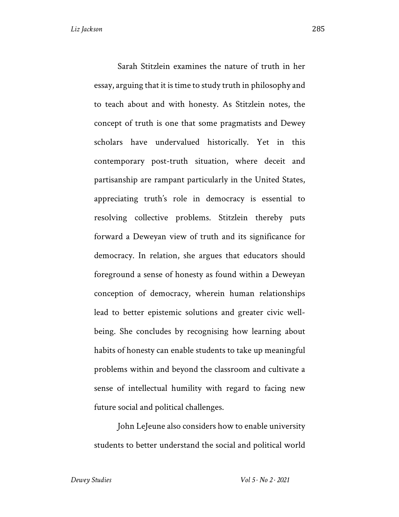Sarah Stitzlein examines the nature of truth in her essay, arguing that it is time to study truth in philosophy and to teach about and with honesty. As Stitzlein notes, the concept of truth is one that some pragmatists and Dewey scholars have undervalued historically. Yet in this contemporary post-truth situation, where deceit and partisanship are rampant particularly in the United States, appreciating truth's role in democracy is essential to resolving collective problems. Stitzlein thereby puts forward a Deweyan view of truth and its significance for democracy. In relation, she argues that educators should foreground a sense of honesty as found within a Deweyan conception of democracy, wherein human relationships lead to better epistemic solutions and greater civic wellbeing. She concludes by recognising how learning about habits of honesty can enable students to take up meaningful problems within and beyond the classroom and cultivate a sense of intellectual humility with regard to facing new future social and political challenges.

John LeJeune also considers how to enable university students to better understand the social and political world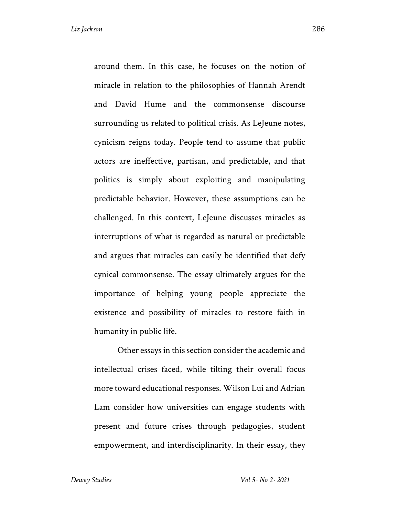around them. In this case, he focuses on the notion of miracle in relation to the philosophies of Hannah Arendt and David Hume and the commonsense discourse surrounding us related to political crisis. As LeJeune notes, cynicism reigns today. People tend to assume that public actors are ineffective, partisan, and predictable, and that politics is simply about exploiting and manipulating predictable behavior. However, these assumptions can be challenged. In this context, LeJeune discusses miracles as interruptions of what is regarded as natural or predictable and argues that miracles can easily be identified that defy cynical commonsense. The essay ultimately argues for the importance of helping young people appreciate the existence and possibility of miracles to restore faith in humanity in public life.

Other essays in this section consider the academic and intellectual crises faced, while tilting their overall focus more toward educational responses. Wilson Lui and Adrian Lam consider how universities can engage students with present and future crises through pedagogies, student empowerment, and interdisciplinarity. In their essay, they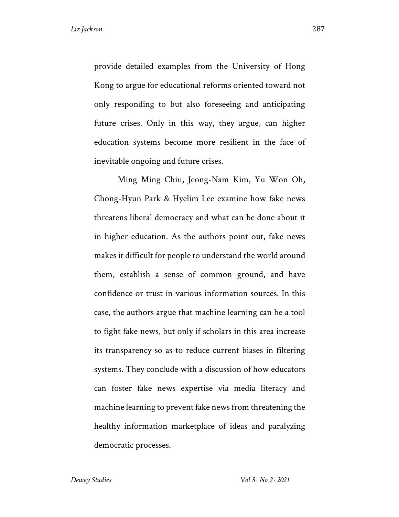provide detailed examples from the University of Hong Kong to argue for educational reforms oriented toward not only responding to but also foreseeing and anticipating future crises. Only in this way, they argue, can higher education systems become more resilient in the face of inevitable ongoing and future crises.

Ming Ming Chiu, Jeong-Nam Kim, Yu Won Oh, Chong-Hyun Park & Hyelim Lee examine how fake news threatens liberal democracy and what can be done about it in higher education. As the authors point out, fake news makes it difficult for people to understand the world around them, establish a sense of common ground, and have confidence or trust in various information sources. In this case, the authors argue that machine learning can be a tool to fight fake news, but only if scholars in this area increase its transparency so as to reduce current biases in filtering systems. They conclude with a discussion of how educators can foster fake news expertise via media literacy and machine learning to prevent fake news from threatening the healthy information marketplace of ideas and paralyzing democratic processes.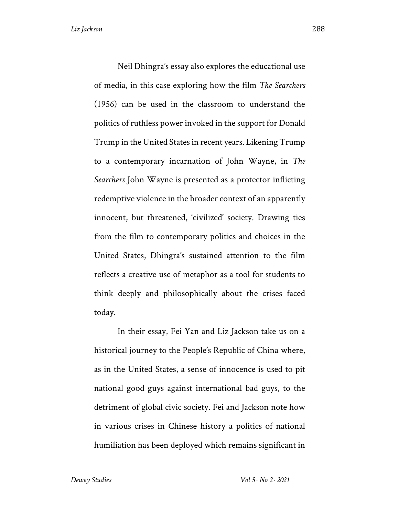Neil Dhingra's essay also explores the educational use of media, in this case exploring how the film *The Searchers*  (1956) can be used in the classroom to understand the politics of ruthless power invoked in the support for Donald Trump in the United States in recent years. Likening Trump to a contemporary incarnation of John Wayne, in *The Searchers* John Wayne is presented as a protector inflicting redemptive violence in the broader context of an apparently innocent, but threatened, 'civilized' society. Drawing ties from the film to contemporary politics and choices in the United States, Dhingra's sustained attention to the film reflects a creative use of metaphor as a tool for students to think deeply and philosophically about the crises faced today.

In their essay, Fei Yan and Liz Jackson take us on a historical journey to the People's Republic of China where, as in the United States, a sense of innocence is used to pit national good guys against international bad guys, to the detriment of global civic society. Fei and Jackson note how in various crises in Chinese history a politics of national humiliation has been deployed which remains significant in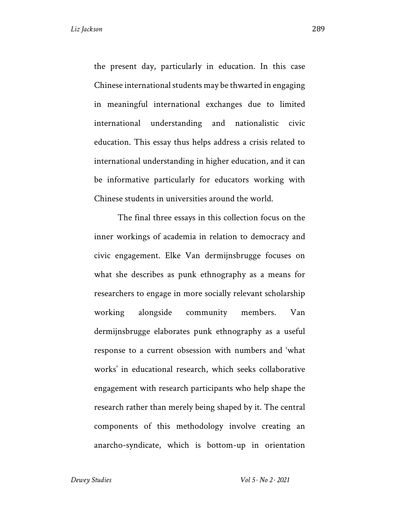the present day, particularly in education. In this case Chinese international students may be thwarted in engaging in meaningful international exchanges due to limited international understanding and nationalistic civic education. This essay thus helps address a crisis related to international understanding in higher education, and it can be informative particularly for educators working with Chinese students in universities around the world.

The final three essays in this collection focus on the inner workings of academia in relation to democracy and civic engagement. Elke Van dermijnsbrugge focuses on what she describes as punk ethnography as a means for researchers to engage in more socially relevant scholarship working alongside community members. Van dermijnsbrugge elaborates punk ethnography as a useful response to a current obsession with numbers and 'what works' in educational research, which seeks collaborative engagement with research participants who help shape the research rather than merely being shaped by it. The central components of this methodology involve creating an anarcho-syndicate, which is bottom-up in orientation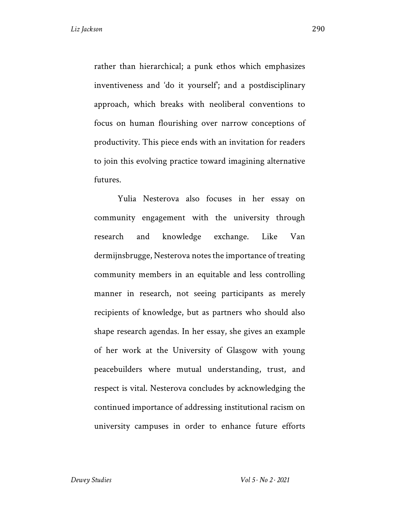rather than hierarchical; a punk ethos which emphasizes inventiveness and 'do it yourself'; and a postdisciplinary approach, which breaks with neoliberal conventions to focus on human flourishing over narrow conceptions of productivity. This piece ends with an invitation for readers to join this evolving practice toward imagining alternative futures.

Yulia Nesterova also focuses in her essay on community engagement with the university through research and knowledge exchange. Like Van dermijnsbrugge, Nesterova notes the importance of treating community members in an equitable and less controlling manner in research, not seeing participants as merely recipients of knowledge, but as partners who should also shape research agendas. In her essay, she gives an example of her work at the University of Glasgow with young peacebuilders where mutual understanding, trust, and respect is vital. Nesterova concludes by acknowledging the continued importance of addressing institutional racism on university campuses in order to enhance future efforts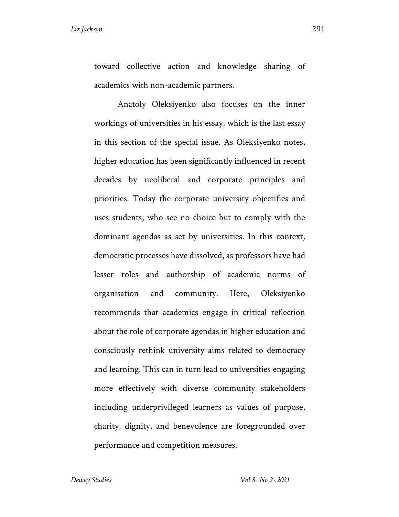toward collective action and knowledge sharing of academics with non-academic partners.

Anatoly Oleksiyenko also focuses on the inner workings of universities in his essay, which is the last essay in this section of the special issue. As Oleksiyenko notes, higher education has been significantly influenced in recent decades by neoliberal and corporate principles and priorities. Today the corporate university objectifies and uses students, who see no choice but to comply with the dominant agendas as set by universities. In this context, democratic processes have dissolved, as professors have had lesser roles and authorship of academic norms of organisation and community. Here, Oleksiyenko recommends that academics engage in critical reflection about the role of corporate agendas in higher education and consciously rethink university aims related to democracy and learning. This can in turn lead to universities engaging more effectively with diverse community stakeholders including underprivileged learners as values of purpose, charity, dignity, and benevolence are foregrounded over performance and competition measures.